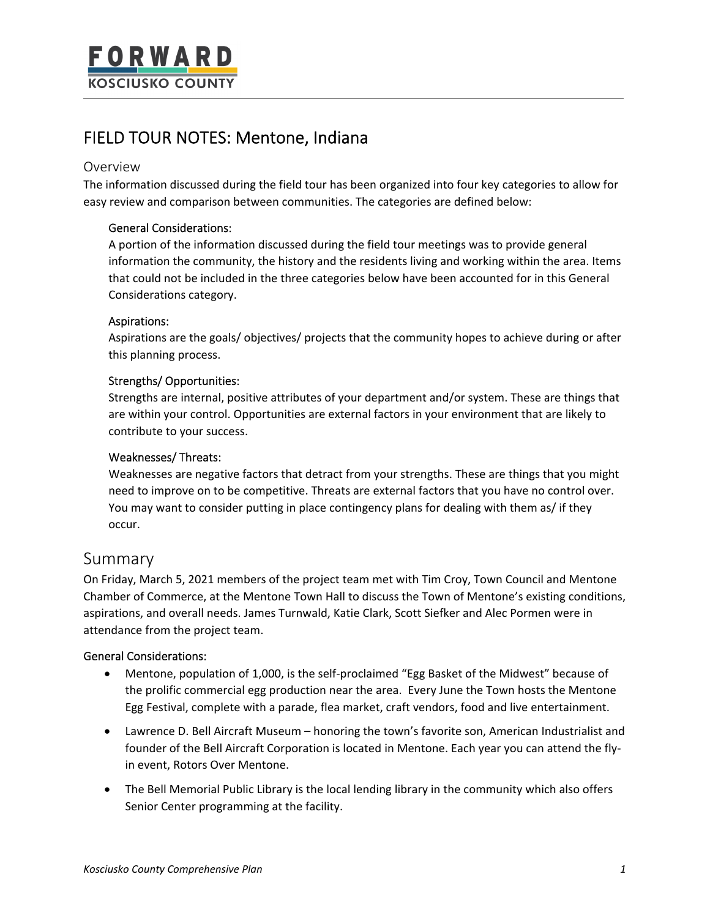# FIELD TOUR NOTES: Mentone, Indiana

## Overview

The information discussed during the field tour has been organized into four key categories to allow for easy review and comparison between communities. The categories are defined below:

### General Considerations:

A portion of the information discussed during the field tour meetings was to provide general information the community, the history and the residents living and working within the area. Items that could not be included in the three categories below have been accounted for in this General Considerations category.

### Aspirations:

Aspirations are the goals/ objectives/ projects that the community hopes to achieve during or after this planning process.

### Strengths/ Opportunities:

Strengths are internal, positive attributes of your department and/or system. These are things that are within your control. Opportunities are external factors in your environment that are likely to contribute to your success.

### Weaknesses/ Threats:

Weaknesses are negative factors that detract from your strengths. These are things that you might need to improve on to be competitive. Threats are external factors that you have no control over. You may want to consider putting in place contingency plans for dealing with them as/ if they occur.

# Summary

On Friday, March 5, 2021 members of the project team met with Tim Croy, Town Council and Mentone Chamber of Commerce, at the Mentone Town Hall to discuss the Town of Mentone's existing conditions, aspirations, and overall needs. James Turnwald, Katie Clark, Scott Siefker and Alec Pormen were in attendance from the project team.

### General Considerations:

- Mentone, population of 1,000, is the self-proclaimed "Egg Basket of the Midwest" because of the prolific commercial egg production near the area. Every June the Town hosts the Mentone Egg Festival, complete with a parade, flea market, craft vendors, food and live entertainment.
- Lawrence D. Bell Aircraft Museum honoring the town's favorite son, American Industrialist and founder of the Bell Aircraft Corporation is located in Mentone. Each year you can attend the flyin event, Rotors Over Mentone.
- The Bell Memorial Public Library is the local lending library in the community which also offers Senior Center programming at the facility.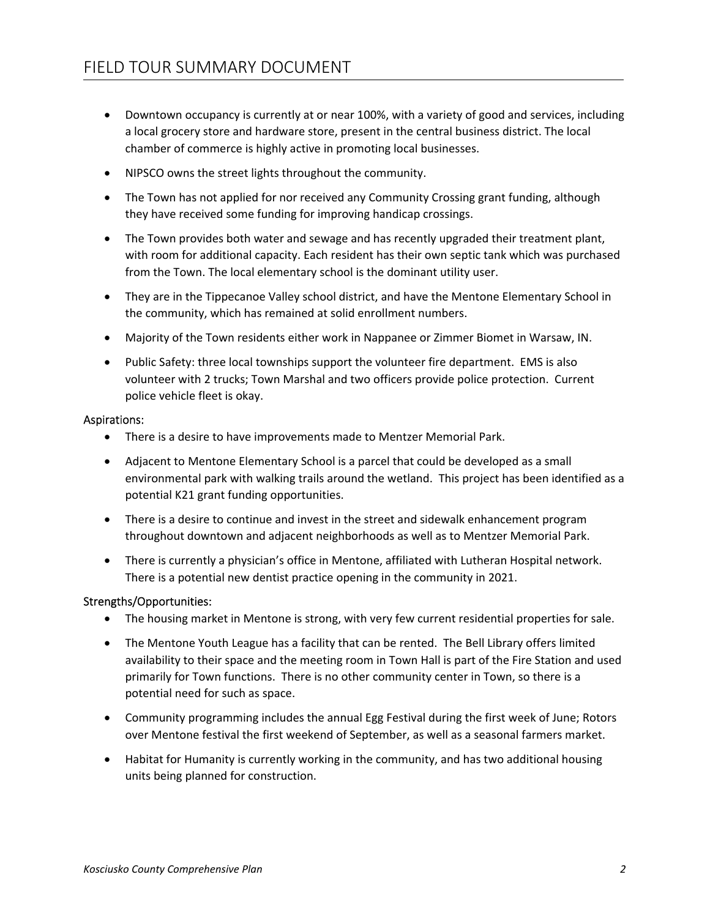- Downtown occupancy is currently at or near 100%, with a variety of good and services, including a local grocery store and hardware store, present in the central business district. The local chamber of commerce is highly active in promoting local businesses.
- NIPSCO owns the street lights throughout the community.
- The Town has not applied for nor received any Community Crossing grant funding, although they have received some funding for improving handicap crossings.
- The Town provides both water and sewage and has recently upgraded their treatment plant, with room for additional capacity. Each resident has their own septic tank which was purchased from the Town. The local elementary school is the dominant utility user.
- They are in the Tippecanoe Valley school district, and have the Mentone Elementary School in the community, which has remained at solid enrollment numbers.
- Majority of the Town residents either work in Nappanee or Zimmer Biomet in Warsaw, IN.
- Public Safety: three local townships support the volunteer fire department. EMS is also volunteer with 2 trucks; Town Marshal and two officers provide police protection. Current police vehicle fleet is okay.

#### Aspirations:

- There is a desire to have improvements made to Mentzer Memorial Park.
- Adjacent to Mentone Elementary School is a parcel that could be developed as a small environmental park with walking trails around the wetland. This project has been identified as a potential K21 grant funding opportunities.
- There is a desire to continue and invest in the street and sidewalk enhancement program throughout downtown and adjacent neighborhoods as well as to Mentzer Memorial Park.
- There is currently a physician's office in Mentone, affiliated with Lutheran Hospital network. There is a potential new dentist practice opening in the community in 2021.

### Strengths/Opportunities:

- The housing market in Mentone is strong, with very few current residential properties for sale.
- The Mentone Youth League has a facility that can be rented. The Bell Library offers limited availability to their space and the meeting room in Town Hall is part of the Fire Station and used primarily for Town functions. There is no other community center in Town, so there is a potential need for such as space.
- Community programming includes the annual Egg Festival during the first week of June; Rotors over Mentone festival the first weekend of September, as well as a seasonal farmers market.
- Habitat for Humanity is currently working in the community, and has two additional housing units being planned for construction.